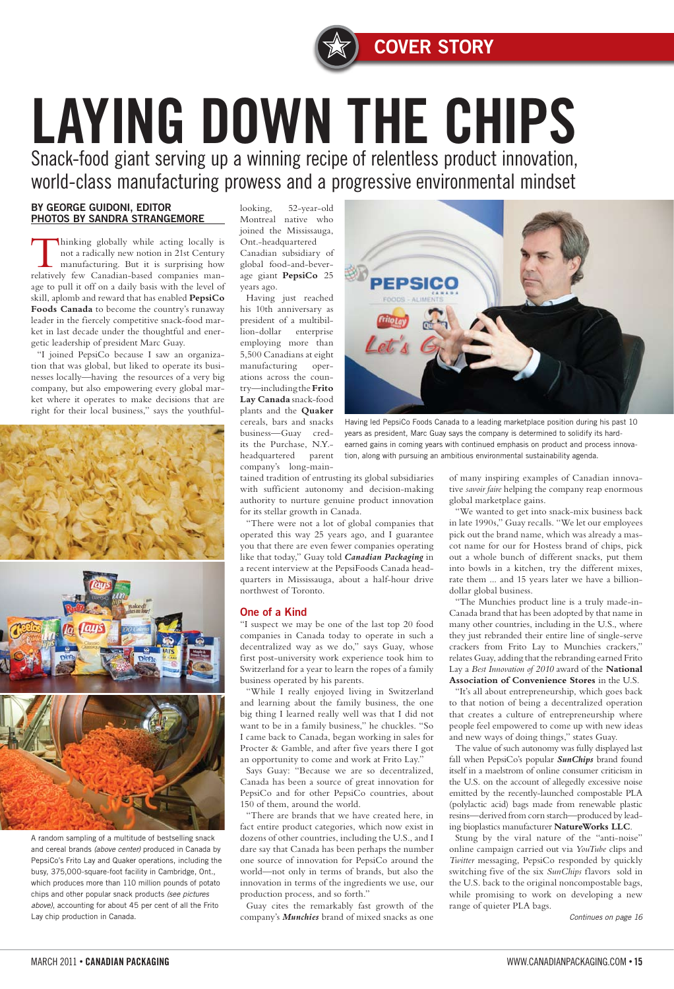#### BY GEORGE GUIDONI, EDITOR PHOTOS BY SANDRA STRANGEMORE

Thinking globally while acting locally is not a radically new notion in 21st Century manufacturing. But it is surprising how relatively few Canadian-based companies manage to pull it off on a daily basis with the level of skill, aplomb and reward that has enabled **PepsiCo Foods Canada** to become the country's runaway leader in the fiercely competitive snack-food market in last decade under the thoughtful and energetic leadership of president Marc Guay.

"I joined PepsiCo because I saw an organization that was global, but liked to operate its businesses locally—having the resources of a very big company, but also empowering every global market where it operates to make decisions that are right for their local business," says the youthful-





looking, 52-year-old Montreal native who joined the Mississauga, Ont.-headquartered

Canadian subsidiary of global food-and-beverage giant **PepsiCo** 25 years ago.

Having just reached his 10th anniversary as president of a multibillion-dollar enterprise employing more than 5,500 Canadians at eight manufacturing operations across the country—including the **Frito Lay Canada** snack-food plants and the **Quaker** cereals, bars and snacks business—Guay credits the Purchase, N.Y. headquartered parent company's long-main-

tained tradition of entrusting its global subsidiaries with sufficient autonomy and decision-making authority to nurture genuine product innovation for its stellar growth in Canada.

"There were not a lot of global companies that operated this way 25 years ago, and I guarantee you that there are even fewer companies operating like that today," Guay told *Canadian Packaging* in a recent interview at the PepsiFoods Canada headquarters in Mississauga, about a half-hour drive northwest of Toronto.

#### One of a Kind

"I suspect we may be one of the last top 20 food companies in Canada today to operate in such a decentralized way as we do," says Guay, whose first post-university work experience took him to Switzerland for a year to learn the ropes of a family business operated by his parents.

"While I really enjoyed living in Switzerland and learning about the family business, the one big thing I learned really well was that I did not want to be in a family business," he chuckles. "So I came back to Canada, began working in sales for Procter & Gamble, and after five years there I got an opportunity to come and work at Frito Lay."

Says Guay: "Because we are so decentralized, Canada has been a source of great innovation for PepsiCo and for other PepsiCo countries, about 150 of them, around the world.

"There are brands that we have created here, in fact entire product categories, which now exist in dozens of other countries, including the U.S., and I dare say that Canada has been perhaps the number one source of innovation for PepsiCo around the world—not only in terms of brands, but also the innovation in terms of the ingredients we use, our production process, and so forth." Guay cites the remarkably fast growth of the

company's *Munchies* brand of mixed snacks as one

of many inspiring examples of Canadian innovative *savoir faire* helping the company reap enormous global marketplace gains.

"We wanted to get into snack-mix business back in late 1990s," Guay recalls. "We let our employees pick out the brand name, which was already a mascot name for our for Hostess brand of chips, pick out a whole bunch of different snacks, put them into bowls in a kitchen, try the different mixes, rate them ... and 15 years later we have a billiondollar global business.

"The Munchies product line is a truly made-in-Canada brand that has been adopted by that name in many other countries, including in the U.S., where they just rebranded their entire line of single-serve crackers from Frito Lay to Munchies crackers," relates Guay, adding that the rebranding earned Frito Lay a *Best Innovation of 2010* award of the **National Association of Convenience Stores** in the U.S.

"It's all about entrepreneurship, which goes back to that notion of being a decentralized operation that creates a culture of entrepreneurship where people feel empowered to come up with new ideas and new ways of doing things," states Guay.

The value of such autonomy was fully displayed last fall when PepsiCo's popular *SunChips* brand found itself in a maelstrom of online consumer criticism in

the U.S. on the account of allegedly excessive noise emitted by the recently-launched compostable PLA (polylactic acid) bags made from renewable plastic resins—derived from corn starch—produced by leading bioplastics manufacturer **NatureWorks LLC**. Stung by the viral nature of the "anti-noise" online campaign carried out via *YouTube* clips and *Twitter* messaging, PepsiCo responded by quickly switching five of the six *SunChips* flavors sold in the U.S. back to the original noncompostable bags, while promising to work on developing a new range of quieter PLA bags.

# LAYING DOWN THE CHIPS Snack-food giant serving up a winning recipe of relentless product innovation,

world-class manufacturing prowess and a progressive environmental mindset

A random sampling of a multitude of bestselling snack and cereal brands *(above center)* produced in Canada by PepsiCo's Frito Lay and Quaker operations, including the busy, 375,000-square-foot facility in Cambridge, Ont., which produces more than 110 million pounds of potato chips and other popular snack products *(see pictures above)*, accounting for about 45 per cent of all the Frito Lay chip production in Canada.



Having led PepsiCo Foods Canada to a leading marketplace position during his past 10 years as president, Marc Guay says the company is determined to solidify its hardearned gains in coming years with continued emphasis on product and process innovation, along with pursuing an ambitious environmental sustainability agenda.

*Continues on page 16*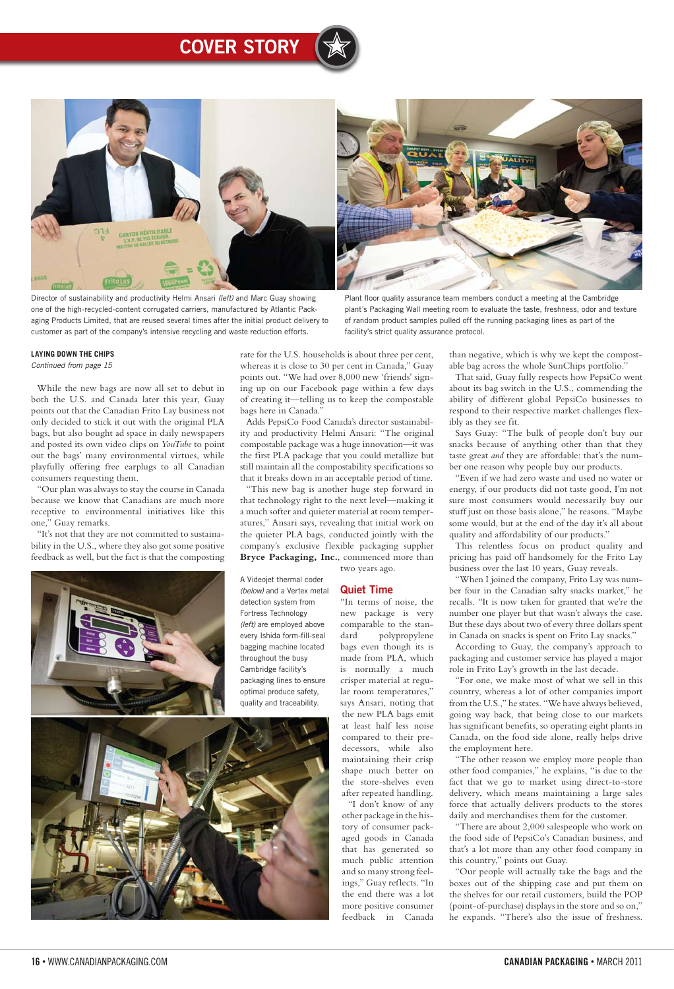## Cover Story

#### 16 • WWW.CANADIANPACKAGING.COM CANADIAN PACKAGING • March 2011

While the new bags are now all set to debut in both the U.S. and Canada later this year, Guay points out that the Canadian Frito Lay business not only decided to stick it out with the original PLA bags, but also bought ad space in daily newspapers and posted its own video clips on *YouTube* to point out the bags' many environmental virtues, while playfully offering free earplugs to all Canadian consumers requesting them.

"Our plan was always to stay the course in Canada because we know that Canadians are much more receptive to environmental initiatives like this one," Guay remarks.

"It's not that they are not committed to sustainability in the U.S., where they also got some positive feedback as well, but the fact is that the composting



rate for the U.S. households is about three per cent, whereas it is close to 30 per cent in Canada," Guay points out. "We had over 8,000 new 'friends' signing up on our Facebook page within a few days of creating it—telling us to keep the compostable bags here in Canada."

Adds PepsiCo Food Canada's director sustainability and productivity Helmi Ansari: "The original compostable package was a huge innovation—it was the first PLA package that you could metallize but still maintain all the compostability specifications so that it breaks down in an acceptable period of time.

"This new bag is another huge step forward in that technology right to the next level—making it a much softer and quieter material at room temperatures," Ansari says, revealing that initial work on the quieter PLA bags, conducted jointly with the company's exclusive flexible packaging supplier **Bryce Packaging, Inc.**, commenced more than

two years ago.

#### Quiet Time

"In terms of noise, the new package is very comparable to the standard polypropylene bags even though its is made from PLA, which is normally a much crisper material at regular room temperatures," says Ansari, noting that the new PLA bags emit at least half less noise compared to their predecessors, while also maintaining their crisp shape much better on the store-shelves even after repeated handling. "I don't know of any other package in the history of consumer packaged goods in Canada that has generated so much public attention and so many strong feelings," Guay reflects. "In the end there was a lot more positive consumer feedback in Canada

than negative, which is why we kept the compostable bag across the whole SunChips portfolio."

That said, Guay fully respects how PepsiCo went about its bag switch in the U.S., commending the ability of different global PepsiCo businesses to respond to their respective market challenges flexibly as they see fit.

Says Guay: "The bulk of people don't buy our snacks because of anything other than that they taste great *and* they are affordable: that's the number one reason why people buy our products.

"Even if we had zero waste and used no water or energy, if our products did not taste good, I'm not sure most consumers would necessarily buy our stuff just on those basis alone," he reasons. "Maybe some would, but at the end of the day it's all about quality and affordability of our products."

This relentless focus on product quality and pricing has paid off handsomely for the Frito Lay business over the last 10 years, Guay reveals.

"When I joined the company, Frito Lay was number four in the Canadian salty snacks market," he recalls. "It is now taken for granted that we're the number one player but that wasn't always the case. But these days about two of every three dollars spent in Canada on snacks is spent on Frito Lay snacks."

According to Guay, the company's approach to packaging and customer service has played a major role in Frito Lay's growth in the last decade.

"For one, we make most of what we sell in this country, whereas a lot of other companies import from the U.S.," he states. "We have always believed, going way back, that being close to our markets has significant benefits, so operating eight plants in Canada, on the food side alone, really helps drive the employment here.

"The other reason we employ more people than other food companies," he explains, "is due to the fact that we go to market using direct-to-store delivery, which means maintaining a large sales force that actually delivers products to the stores daily and merchandises them for the customer.

"There are about 2,000 salespeople who work on the food side of PepsiCo's Canadian business, and that's a lot more than any other food company in this country," points out Guay.

"Our people will actually take the bags and the boxes out of the shipping case and put them on the shelves for our retail customers, build the POP (point-of-purchase) displays in the store and so on," he expands. "There's also the issue of freshness.



Director of sustainability and productivity Helmi Ansari *(left)* and Marc Guay showing one of the high-recycled-content corrugated carriers, manufactured by Atlantic Packaging Products Limited, that are reused several times after the initial product delivery to customer as part of the company's intensive recycling and waste reduction efforts.

#### Plant floor quality assurance team members conduct a meeting at the Cambridge plant's Packaging Wall meeting room to evaluate the taste, freshness, odor and texture of random product samples pulled off the running packaging lines as part of the facility's strict quality assurance protocol.

A Videojet thermal coder *(below)* and a Vertex metal detection system from Fortress Technology *(left)* are employed above every Ishida form-fill-seal bagging machine located throughout the busy Cambridge facility's packaging lines to ensure optimal produce safety, quality and traceability.



#### **Laying down the chips**

*Continued from page 15*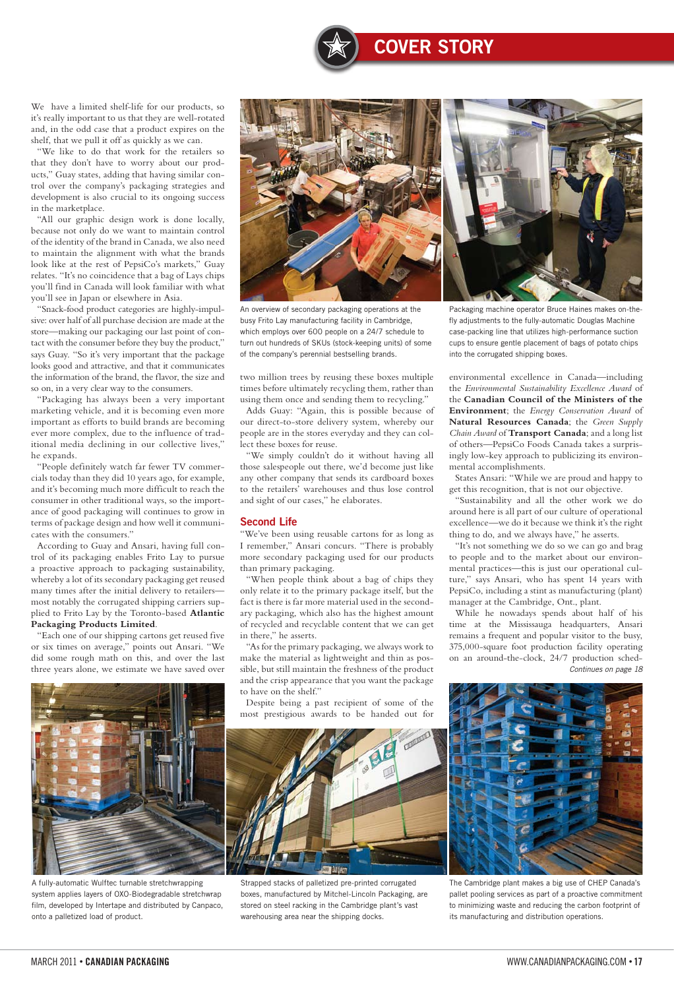#### March 2011 • CANADIAN PACKAGING WWW.CANADIANPACKAGING.COM • 17

Cover Story

#### We have a limited shelf-life for our products, so it's really important to us that they are well-rotated and, in the odd case that a product expires on the shelf, that we pull it off as quickly as we can.

"We like to do that work for the retailers so that they don't have to worry about our products," Guay states, adding that having similar control over the company's packaging strategies and development is also crucial to its ongoing success in the marketplace.

"All our graphic design work is done locally, because not only do we want to maintain control of the identity of the brand in Canada, we also need to maintain the alignment with what the brands look like at the rest of PepsiCo's markets," Guay relates. "It's no coincidence that a bag of Lays chips you'll find in Canada will look familiar with what you'll see in Japan or elsewhere in Asia.

"Snack-food product categories are highly-impulsive: over half of all purchase decision are made at the store—making our packaging our last point of contact with the consumer before they buy the product," says Guay. "So it's very important that the package looks good and attractive, and that it communicates the information of the brand, the flavor, the size and so on, in a very clear way to the consumers.

"Packaging has always been a very important marketing vehicle, and it is becoming even more important as efforts to build brands are becoming ever more complex, due to the influence of traditional media declining in our collective lives," he expands.

"People definitely watch far fewer TV commercials today than they did 10 years ago, for example, and it's becoming much more difficult to reach the consumer in other traditional ways, so the importance of good packaging will continues to grow in terms of package design and how well it communicates with the consumers."

According to Guay and Ansari, having full control of its packaging enables Frito Lay to pursue a proactive approach to packaging sustainability, whereby a lot of its secondary packaging get reused many times after the initial delivery to retailers most notably the corrugated shipping carriers supplied to Frito Lay by the Toronto-based **Atlantic Packaging Products Limited**.

"Each one of our shipping cartons get reused five or six times on average," points out Ansari. "We did some rough math on this, and over the last three years alone, we estimate we have saved over two million trees by reusing these boxes multiple times before ultimately recycling them, rather than using them once and sending them to recycling."

Adds Guay: "Again, this is possible because of our direct-to-store delivery system, whereby our people are in the stores everyday and they can collect these boxes for reuse.

"We simply couldn't do it without having all those salespeople out there, we'd become just like any other company that sends its cardboard boxes to the retailers' warehouses and thus lose control and sight of our cases," he elaborates.

#### Second Life

"We've been using reusable cartons for as long as I remember," Ansari concurs. "There is probably more secondary packaging used for our products than primary packaging.

"When people think about a bag of chips they only relate it to the primary package itself, but the fact is there is far more material used in the secondary packaging, which also has the highest amount of recycled and recyclable content that we can get in there," he asserts.

"As for the primary packaging, we always work to make the material as lightweight and thin as possible, but still maintain the freshness of the product and the crisp appearance that you want the package





environmental excellence in Canada—including the *Environmental Sustainability Excellence Award* of the **Canadian Council of the Ministers of the Environment**; the *Energy Conservation Award* of **Natural Resources Canada**; the *Green Supply Chain Award* of **Transport Canada**; and a long list of others—PepsiCo Foods Canada takes a surprisingly low-key approach to publicizing its environmental accomplishments.

States Ansari: "While we are proud and happy to get this recognition, that is not our objective.

"Sustainability and all the other work we do around here is all part of our culture of operational excellence—we do it because we think it's the right thing to do, and we always have," he asserts.

"It's not something we do so we can go and brag to people and to the market about our environmental practices—this is just our operational culture," says Ansari, who has spent 14 years with PepsiCo, including a stint as manufacturing (plant) manager at the Cambridge, Ont., plant.

A fully-automatic Wulftec turnable stretchwrapping system applies layers of OXO-Biodegradable stretchwrap film, developed by Intertape and distributed by Canpaco, onto a palletized load of product.

Strapped stacks of palletized pre-printed corrugated boxes, manufactured by Mitchel-Lincoln Packaging, are stored on steel racking in the Cambridge plant's vast warehousing area near the shipping docks.

While he nowadays spends about half of his time at the Mississauga headquarters, Ansari remains a frequent and popular visitor to the busy, 375,000-square foot production facility operating on an around-the-clock, 24/7 production sched-*Continues on page 18*



The Cambridge plant makes a big use of CHEP Canada's pallet pooling services as part of a proactive commitment to minimizing waste and reducing the carbon footprint of its manufacturing and distribution operations.

An overview of secondary packaging operations at the busy Frito Lay manufacturing facility in Cambridge, which employs over 600 people on a 24/7 schedule to turn out hundreds of SKUs (stock-keeping units) of some of the company's perennial bestselling brands.

Packaging machine operator Bruce Haines makes on-thefly adjustments to the fully-automatic Douglas Machine case-packing line that utilizes high-performance suction cups to ensure gentle placement of bags of potato chips into the corrugated shipping boxes.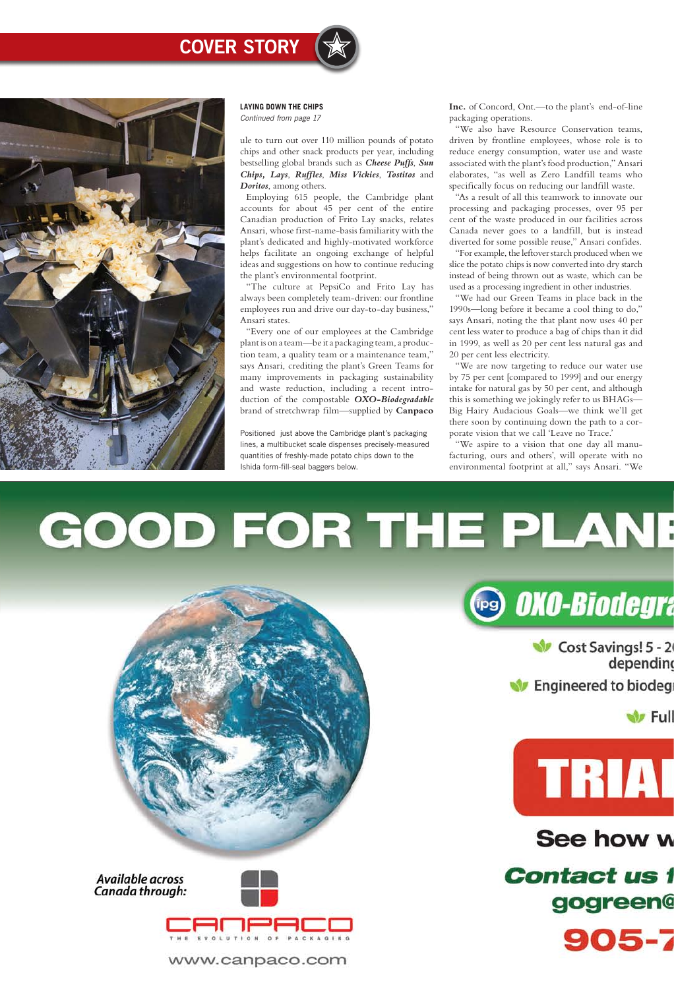ule to turn out over 110 million pounds of potato chips and other snack products per year, including bestselling global brands such as *Cheese Puffs*, *Sun Chips, Lays*, *Ruffles*, *Miss Vickies*, *Tostitos* and *Doritos*, among others.

Employing 615 people, the Cambridge plant accounts for about 45 per cent of the entire Canadian production of Frito Lay snacks, relates Ansari, whose first-name-basis familiarity with the plant's dedicated and highly-motivated workforce helps facilitate an ongoing exchange of helpful ideas and suggestions on how to continue reducing the plant's environmental footprint.

"The culture at PepsiCo and Frito Lay has always been completely team-driven: our frontline employees run and drive our day-to-day business," Ansari states.

"Every one of our employees at the Cambridge plant is on a team—be it a packaging team, a production team, a quality team or a maintenance team," says Ansari, crediting the plant's Green Teams for many improvements in packaging sustainability and waste reduction, including a recent introduction of the compostable *OXO-Biodegradable* brand of stretchwrap film—supplied by **Canpaco** 

**Inc.** of Concord, Ont.—to the plant's end-of-line packaging operations.

"We also have Resource Conservation teams, driven by frontline employees, whose role is to reduce energy consumption, water use and waste associated with the plant's food production," Ansari elaborates, "as well as Zero Landfill teams who specifically focus on reducing our landfill waste.

"As a result of all this teamwork to innovate our processing and packaging processes, over 95 per cent of the waste produced in our facilities across Canada never goes to a landfill, but is instead diverted for some possible reuse," Ansari confides.

"For example, the leftover starch produced when we slice the potato chips is now converted into dry starch instead of being thrown out as waste, which can be used as a processing ingredient in other industries.

"We had our Green Teams in place back in the 1990s—long before it became a cool thing to do," says Ansari, noting the that plant now uses 40 per cent less water to produce a bag of chips than it did in 1999, as well as 20 per cent less natural gas and 20 per cent less electricity.

"We are now targeting to reduce our water use by 75 per cent [compared to 1999] and our energy intake for natural gas by 50 per cent, and although this is something we jokingly refer to us BHAGs— Big Hairy Audacious Goals—we think we'll get there soon by continuing down the path to a corporate vision that we call 'Leave no Trace.'

"We aspire to a vision that one day all manufacturing, ours and others', will operate with no environmental footprint at all," says Ansari. "We

# GOOD FOR THE PLANE





Cost Savings! 5 - 2 depending

**W** Engineered to biodeg

**W** Full



#### Available across Canada through:



www.canpaco.com

## See how w

**Contact us f** gogreen@



Positioned just above the Cambridge plant's packaging lines, a multibucket scale dispenses precisely-measured quantities of freshly-made potato chips down to the Ishida form-fill-seal baggers below.

### **COVER STORY**



**Laying down the chips** *Continued from page 17*